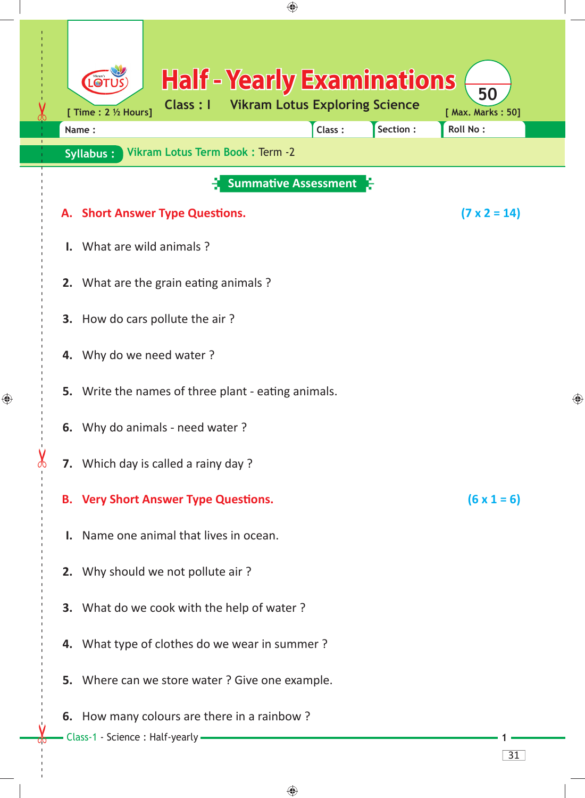| ♠                                                                                                                                                                                                                                                                                                                                                                                                                                                                                                                                                                                                  |                                              |
|----------------------------------------------------------------------------------------------------------------------------------------------------------------------------------------------------------------------------------------------------------------------------------------------------------------------------------------------------------------------------------------------------------------------------------------------------------------------------------------------------------------------------------------------------------------------------------------------------|----------------------------------------------|
| <b>Half - Yearly Examinations</b><br><b>LOT</b><br>50<br><b>Vikram Lotus Exploring Science</b><br><b>Class : I</b><br>[ Time : 2 ½ Hours]<br>[ Max. Marks: 50]<br>Section:<br><b>Roll No:</b><br>Class:<br>Name:                                                                                                                                                                                                                                                                                                                                                                                   |                                              |
|                                                                                                                                                                                                                                                                                                                                                                                                                                                                                                                                                                                                    |                                              |
| <b>Summative Assessment</b><br>$(7 \times 2 = 14)$<br>A. Short Answer Type Questions.<br>What are wild animals?                                                                                                                                                                                                                                                                                                                                                                                                                                                                                    |                                              |
| 2. What are the grain eating animals?<br>How do cars pollute the air?<br>3.<br>Why do we need water?<br>4.<br>Write the names of three plant - eating animals.<br>5.<br>6. Why do animals - need water?<br>7. Which day is called a rainy day ?<br><b>B.</b> Very Short Answer Type Questions.<br>$(6 \times 1 = 6)$<br>Name one animal that lives in ocean.<br>2. Why should we not pollute air?<br>3. What do we cook with the help of water?<br>4. What type of clothes do we wear in summer?<br>5. Where can we store water ? Give one example.<br>6. How many colours are there in a rainbow? | ⊕                                            |
| Class-1 - Science : Half-yearly -<br>31                                                                                                                                                                                                                                                                                                                                                                                                                                                                                                                                                            |                                              |
|                                                                                                                                                                                                                                                                                                                                                                                                                                                                                                                                                                                                    | Vikram Lotus Term Book: Term -2<br>Syllabus: |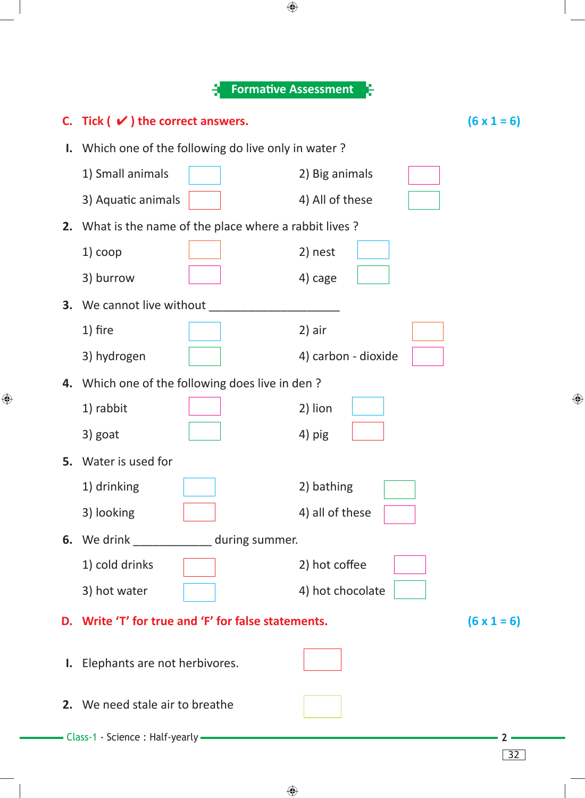|    |                                                        | <b>Formative Assessment</b> |                     |                    |
|----|--------------------------------------------------------|-----------------------------|---------------------|--------------------|
|    | C. Tick $(v)$ the correct answers.                     |                             |                     | $(6 \times 1 = 6)$ |
| Ι. | Which one of the following do live only in water?      |                             |                     |                    |
|    | 1) Small animals                                       |                             | 2) Big animals      |                    |
|    | 3) Aquatic animals                                     |                             | 4) All of these     |                    |
|    | 2. What is the name of the place where a rabbit lives? |                             |                     |                    |
|    | $1)$ coop                                              |                             | 2) nest             |                    |
|    | 3) burrow                                              |                             | 4) cage             |                    |
|    | 3. We cannot live without                              |                             |                     |                    |
|    | 1) fire                                                |                             | 2) air              |                    |
|    | 3) hydrogen                                            |                             | 4) carbon - dioxide |                    |
|    | 4. Which one of the following does live in den?        |                             |                     |                    |
|    | 1) rabbit                                              |                             | 2) lion             |                    |
|    | 3) goat                                                |                             | 4) pig              |                    |
|    | 5. Water is used for                                   |                             |                     |                    |
|    | 1) drinking                                            |                             | 2) bathing          |                    |
|    | 3) looking                                             |                             | 4) all of these     |                    |
|    | 6. We drink ______________ during summer.              |                             |                     |                    |
|    | 1) cold drinks                                         |                             | 2) hot coffee       |                    |
|    | 3) hot water                                           |                             | 4) hot chocolate    |                    |
|    | D. Write 'T' for true and 'F' for false statements.    |                             |                     | $(6 \times 1 = 6)$ |
|    | I. Elephants are not herbivores.                       |                             |                     |                    |
|    | 2. We need stale air to breathe                        |                             |                     |                    |
|    | — Class-1 - Science : Half-yearly —                    |                             |                     | 32                 |

 $\bigoplus$ 

 $\bigoplus$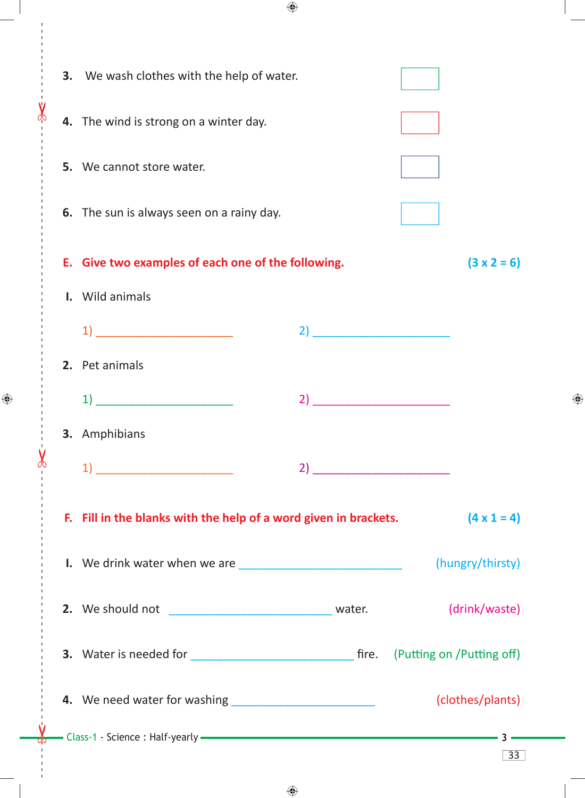| 3. | We wash clothes with the help of water.                                                                                     |    |                                                                                                                             |
|----|-----------------------------------------------------------------------------------------------------------------------------|----|-----------------------------------------------------------------------------------------------------------------------------|
|    | 4. The wind is strong on a winter day.                                                                                      |    |                                                                                                                             |
| 5. | We cannot store water.                                                                                                      |    |                                                                                                                             |
|    | 6. The sun is always seen on a rainy day.                                                                                   |    |                                                                                                                             |
| Е. | Give two examples of each one of the following.                                                                             |    | $(3 \times 2 = 6)$                                                                                                          |
| L. | Wild animals                                                                                                                |    |                                                                                                                             |
|    | $\mathbf{1}$ $\overline{\phantom{a}}$                                                                                       | 2) |                                                                                                                             |
|    | 2. Pet animals                                                                                                              |    |                                                                                                                             |
|    | $\mathbf{1}$ $\qquad \qquad$                                                                                                | 2) | <u>.</u><br>The company of the company of the company of the company of the company of the company of the company of the co |
|    | <b>3.</b> Amphibians                                                                                                        |    |                                                                                                                             |
|    | $\left( \begin{array}{ccc} 1 \end{array} \right)$ $\overline{\phantom{a}}$                                                  |    |                                                                                                                             |
|    | F. Fill in the blanks with the help of a word given in brackets.                                                            |    | $(4 \times 1 = 4)$                                                                                                          |
|    |                                                                                                                             |    | (hungry/thirsty)                                                                                                            |
|    |                                                                                                                             |    | (drink/waste)                                                                                                               |
|    |                                                                                                                             |    |                                                                                                                             |
|    |                                                                                                                             |    | (clothes/plants)                                                                                                            |
|    | Class-1 - Science : Half-yearly <b>Community and Class-1</b> - Science : Half-yearly <b>Class-1</b> - Science : Half-yearly |    | 33                                                                                                                          |

 $\bigoplus$ 

------ - - --------------------------------------- --- -------------------------------------------------- ------------- -- - - ---

 $\chi$ 

 $\bigoplus$ 

 $\frac{1}{\alpha}$